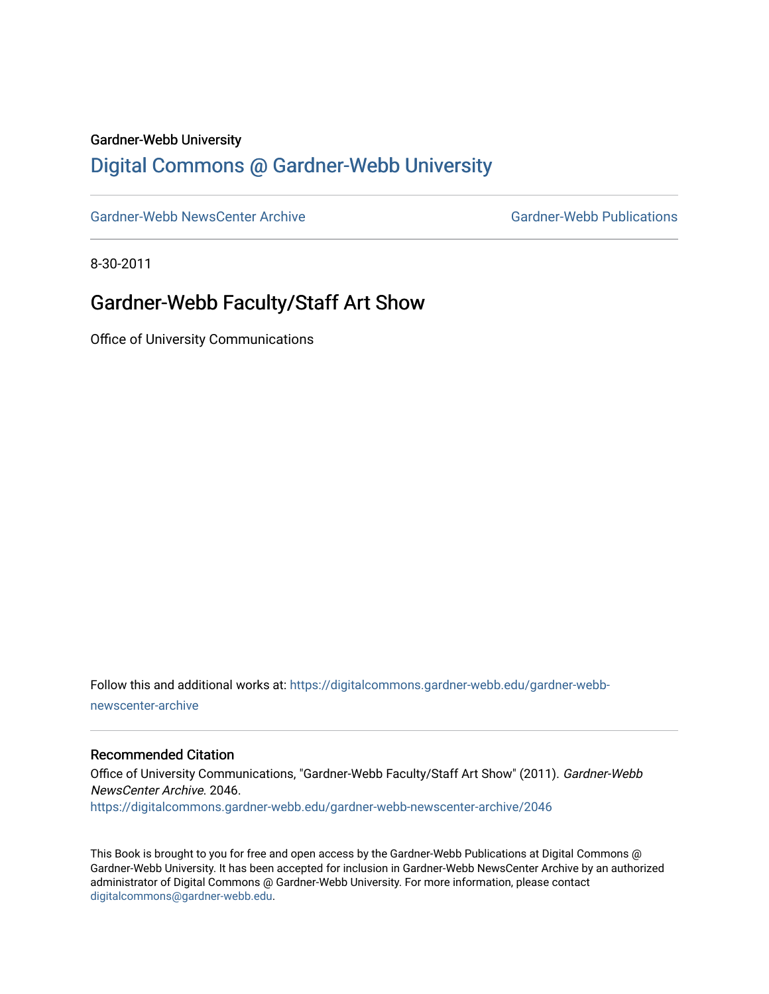#### Gardner-Webb University

## [Digital Commons @ Gardner-Webb University](https://digitalcommons.gardner-webb.edu/)

[Gardner-Webb NewsCenter Archive](https://digitalcommons.gardner-webb.edu/gardner-webb-newscenter-archive) Gardner-Webb Publications

8-30-2011

## Gardner-Webb Faculty/Staff Art Show

Office of University Communications

Follow this and additional works at: [https://digitalcommons.gardner-webb.edu/gardner-webb](https://digitalcommons.gardner-webb.edu/gardner-webb-newscenter-archive?utm_source=digitalcommons.gardner-webb.edu%2Fgardner-webb-newscenter-archive%2F2046&utm_medium=PDF&utm_campaign=PDFCoverPages)[newscenter-archive](https://digitalcommons.gardner-webb.edu/gardner-webb-newscenter-archive?utm_source=digitalcommons.gardner-webb.edu%2Fgardner-webb-newscenter-archive%2F2046&utm_medium=PDF&utm_campaign=PDFCoverPages)

#### Recommended Citation

Office of University Communications, "Gardner-Webb Faculty/Staff Art Show" (2011). Gardner-Webb NewsCenter Archive. 2046. [https://digitalcommons.gardner-webb.edu/gardner-webb-newscenter-archive/2046](https://digitalcommons.gardner-webb.edu/gardner-webb-newscenter-archive/2046?utm_source=digitalcommons.gardner-webb.edu%2Fgardner-webb-newscenter-archive%2F2046&utm_medium=PDF&utm_campaign=PDFCoverPages) 

This Book is brought to you for free and open access by the Gardner-Webb Publications at Digital Commons @ Gardner-Webb University. It has been accepted for inclusion in Gardner-Webb NewsCenter Archive by an authorized administrator of Digital Commons @ Gardner-Webb University. For more information, please contact [digitalcommons@gardner-webb.edu](mailto:digitalcommons@gardner-webb.edu).